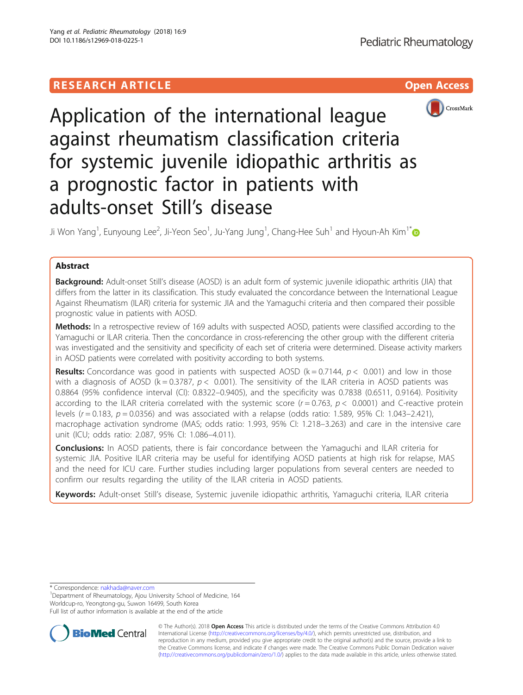# **RESEARCH ARTICLE Example 2018 12:30 THE OPEN ACCESS**



Application of the international league against rheumatism classification criteria for systemic juvenile idiopathic arthritis as a prognostic factor in patients with adults-onset Still's disease

Ji Won Yang<sup>1</sup>, Eunyoung Lee<sup>2</sup>, Ji-Yeon Seo<sup>1</sup>, Ju-Yang Jung<sup>1</sup>, Chang-Hee Suh<sup>1</sup> and Hyoun-Ah Kim<sup>1[\\*](http://orcid.org/0000-0003-2609-3367)</sup>

# Abstract

Background: Adult-onset Still's disease (AOSD) is an adult form of systemic juvenile idiopathic arthritis (JIA) that differs from the latter in its classification. This study evaluated the concordance between the International League Against Rheumatism (ILAR) criteria for systemic JIA and the Yamaguchi criteria and then compared their possible prognostic value in patients with AOSD.

Methods: In a retrospective review of 169 adults with suspected AOSD, patients were classified according to the Yamaguchi or ILAR criteria. Then the concordance in cross-referencing the other group with the different criteria was investigated and the sensitivity and specificity of each set of criteria were determined. Disease activity markers in AOSD patients were correlated with positivity according to both systems.

**Results:** Concordance was good in patients with suspected AOSD ( $k = 0.7144$ ,  $p < 0.001$ ) and low in those with a diagnosis of AOSD ( $k = 0.3787$ ,  $p < 0.001$ ). The sensitivity of the ILAR criteria in AOSD patients was 0.8864 (95% confidence interval (CI): 0.8322–0.9405), and the specificity was 0.7838 (0.6511, 0.9164). Positivity according to the ILAR criteria correlated with the systemic score  $(r = 0.763, p < 0.0001)$  and C-reactive protein levels ( $r = 0.183$ ,  $p = 0.0356$ ) and was associated with a relapse (odds ratio: 1.589, 95% CI: 1.043-2.421), macrophage activation syndrome (MAS; odds ratio: 1.993, 95% CI: 1.218–3.263) and care in the intensive care unit (ICU; odds ratio: 2.087, 95% CI: 1.086–4.011).

**Conclusions:** In AOSD patients, there is fair concordance between the Yamaguchi and ILAR criteria for systemic JIA. Positive ILAR criteria may be useful for identifying AOSD patients at high risk for relapse, MAS and the need for ICU care. Further studies including larger populations from several centers are needed to confirm our results regarding the utility of the ILAR criteria in AOSD patients.

Keywords: Adult-onset Still's disease, Systemic juvenile idiopathic arthritis, Yamaguchi criteria, ILAR criteria

\* Correspondence: [nakhada@naver.com](mailto:nakhada@naver.com) <sup>1</sup>

<sup>1</sup>Department of Rheumatology, Ajou University School of Medicine, 164 Worldcup-ro, Yeongtong-gu, Suwon 16499, South Korea

Full list of author information is available at the end of the article



© The Author(s). 2018 Open Access This article is distributed under the terms of the Creative Commons Attribution 4.0 International License [\(http://creativecommons.org/licenses/by/4.0/](http://creativecommons.org/licenses/by/4.0/)), which permits unrestricted use, distribution, and reproduction in any medium, provided you give appropriate credit to the original author(s) and the source, provide a link to the Creative Commons license, and indicate if changes were made. The Creative Commons Public Domain Dedication waiver [\(http://creativecommons.org/publicdomain/zero/1.0/](http://creativecommons.org/publicdomain/zero/1.0/)) applies to the data made available in this article, unless otherwise stated.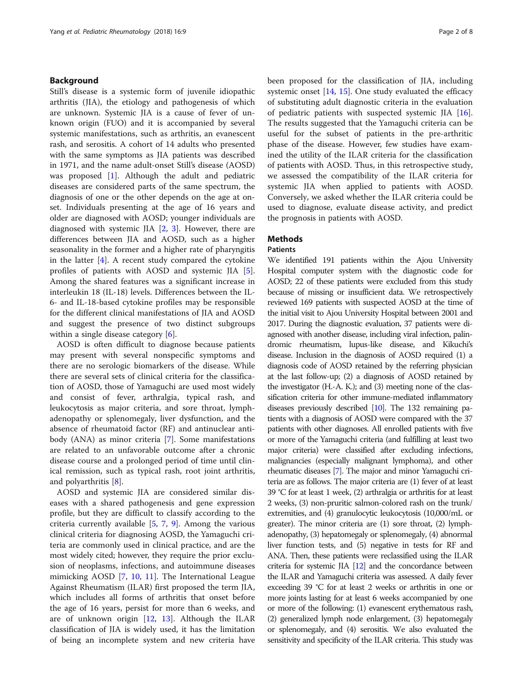### Background

Still's disease is a systemic form of juvenile idiopathic arthritis (JIA), the etiology and pathogenesis of which are unknown. Systemic JIA is a cause of fever of unknown origin (FUO) and it is accompanied by several systemic manifestations, such as arthritis, an evanescent rash, and serositis. A cohort of 14 adults who presented with the same symptoms as JIA patients was described in 1971, and the name adult-onset Still's disease (AOSD) was proposed [[1\]](#page-6-0). Although the adult and pediatric diseases are considered parts of the same spectrum, the diagnosis of one or the other depends on the age at onset. Individuals presenting at the age of 16 years and older are diagnosed with AOSD; younger individuals are diagnosed with systemic JIA [\[2](#page-6-0), [3\]](#page-6-0). However, there are differences between JIA and AOSD, such as a higher seasonality in the former and a higher rate of pharyngitis in the latter [[4\]](#page-6-0). A recent study compared the cytokine profiles of patients with AOSD and systemic JIA [\[5](#page-6-0)]. Among the shared features was a significant increase in interleukin 18 (IL-18) levels. Differences between the IL-6- and IL-18-based cytokine profiles may be responsible for the different clinical manifestations of JIA and AOSD and suggest the presence of two distinct subgroups within a single disease category [\[6](#page-6-0)].

AOSD is often difficult to diagnose because patients may present with several nonspecific symptoms and there are no serologic biomarkers of the disease. While there are several sets of clinical criteria for the classification of AOSD, those of Yamaguchi are used most widely and consist of fever, arthralgia, typical rash, and leukocytosis as major criteria, and sore throat, lymphadenopathy or splenomegaly, liver dysfunction, and the absence of rheumatoid factor (RF) and antinuclear antibody (ANA) as minor criteria [\[7](#page-6-0)]. Some manifestations are related to an unfavorable outcome after a chronic disease course and a prolonged period of time until clinical remission, such as typical rash, root joint arthritis, and polyarthritis [\[8](#page-6-0)].

AOSD and systemic JIA are considered similar diseases with a shared pathogenesis and gene expression profile, but they are difficult to classify according to the criteria currently available  $[5, 7, 9]$  $[5, 7, 9]$  $[5, 7, 9]$  $[5, 7, 9]$  $[5, 7, 9]$  $[5, 7, 9]$  $[5, 7, 9]$ . Among the various clinical criteria for diagnosing AOSD, the Yamaguchi criteria are commonly used in clinical practice, and are the most widely cited; however, they require the prior exclusion of neoplasms, infections, and autoimmune diseases mimicking AOSD [\[7](#page-6-0), [10](#page-6-0), [11](#page-6-0)]. The International League Against Rheumatism (ILAR) first proposed the term JIA, which includes all forms of arthritis that onset before the age of 16 years, persist for more than 6 weeks, and are of unknown origin [\[12](#page-6-0), [13](#page-6-0)]. Although the ILAR classification of JIA is widely used, it has the limitation of being an incomplete system and new criteria have been proposed for the classification of JIA, including systemic onset [[14,](#page-6-0) [15\]](#page-6-0). One study evaluated the efficacy of substituting adult diagnostic criteria in the evaluation of pediatric patients with suspected systemic JIA  $[16]$  $[16]$ . The results suggested that the Yamaguchi criteria can be useful for the subset of patients in the pre-arthritic phase of the disease. However, few studies have examined the utility of the ILAR criteria for the classification of patients with AOSD. Thus, in this retrospective study, we assessed the compatibility of the ILAR criteria for systemic JIA when applied to patients with AOSD. Conversely, we asked whether the ILAR criteria could be used to diagnose, evaluate disease activity, and predict the prognosis in patients with AOSD.

### **Methods**

### Patients

We identified 191 patients within the Ajou University Hospital computer system with the diagnostic code for AOSD; 22 of these patients were excluded from this study because of missing or insufficient data. We retrospectively reviewed 169 patients with suspected AOSD at the time of the initial visit to Ajou University Hospital between 2001 and 2017. During the diagnostic evaluation, 37 patients were diagnosed with another disease, including viral infection, palindromic rheumatism, lupus-like disease, and Kikuchi's disease. Inclusion in the diagnosis of AOSD required (1) a diagnosis code of AOSD retained by the referring physician at the last follow-up; (2) a diagnosis of AOSD retained by the investigator (H.-A. K.); and (3) meeting none of the classification criteria for other immune-mediated inflammatory diseases previously described [\[10](#page-6-0)]. The 132 remaining patients with a diagnosis of AOSD were compared with the 37 patients with other diagnoses. All enrolled patients with five or more of the Yamaguchi criteria (and fulfilling at least two major criteria) were classified after excluding infections, malignancies (especially malignant lymphoma), and other rheumatic diseases [\[7\]](#page-6-0). The major and minor Yamaguchi criteria are as follows. The major criteria are (1) fever of at least 39 °C for at least 1 week, (2) arthralgia or arthritis for at least 2 weeks, (3) non-pruritic salmon-colored rash on the trunk/ extremities, and (4) granulocytic leukocytosis (10,000/mL or greater). The minor criteria are (1) sore throat, (2) lymphadenopathy, (3) hepatomegaly or splenomegaly, (4) abnormal liver function tests, and (5) negative in tests for RF and ANA. Then, these patients were reclassified using the ILAR criteria for systemic JIA [[12\]](#page-6-0) and the concordance between the ILAR and Yamaguchi criteria was assessed. A daily fever exceeding 39 °C for at least 2 weeks or arthritis in one or more joints lasting for at least 6 weeks accompanied by one or more of the following: (1) evanescent erythematous rash, (2) generalized lymph node enlargement, (3) hepatomegaly or splenomegaly, and (4) serositis. We also evaluated the sensitivity and specificity of the ILAR criteria. This study was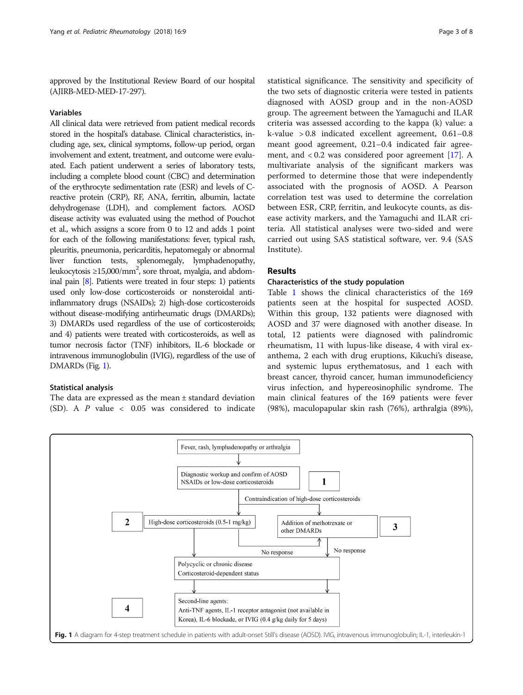approved by the Institutional Review Board of our hospital (AJIRB-MED-MED-17-297).

#### Variables

All clinical data were retrieved from patient medical records stored in the hospital's database. Clinical characteristics, including age, sex, clinical symptoms, follow-up period, organ involvement and extent, treatment, and outcome were evaluated. Each patient underwent a series of laboratory tests, including a complete blood count (CBC) and determination of the erythrocyte sedimentation rate (ESR) and levels of Creactive protein (CRP), RF, ANA, ferritin, albumin, lactate dehydrogenase (LDH), and complement factors. AOSD disease activity was evaluated using the method of Pouchot et al., which assigns a score from 0 to 12 and adds 1 point for each of the following manifestations: fever, typical rash, pleuritis, pneumonia, pericarditis, hepatomegaly or abnormal liver function tests, splenomegaly, lymphadenopathy, leukocytosis ≥15,000/mm<sup>2</sup>, sore throat, myalgia, and abdominal pain [\[8](#page-6-0)]. Patients were treated in four steps: 1) patients used only low-dose corticosteroids or nonsteroidal antiinflammatory drugs (NSAIDs); 2) high-dose corticosteroids without disease-modifying antirheumatic drugs (DMARDs); 3) DMARDs used regardless of the use of corticosteroids; and 4) patients were treated with corticosteroids, as well as tumor necrosis factor (TNF) inhibitors, IL-6 blockade or intravenous immunoglobulin (IVIG), regardless of the use of DMARDs (Fig. 1).

### Statistical analysis

The data are expressed as the mean ± standard deviation (SD). A  $P$  value  $\lt$  0.05 was considered to indicate statistical significance. The sensitivity and specificity of the two sets of diagnostic criteria were tested in patients diagnosed with AOSD group and in the non-AOSD group. The agreement between the Yamaguchi and ILAR criteria was assessed according to the kappa (k) value: a k-value > 0.8 indicated excellent agreement, 0.61–0.8 meant good agreement, 0.21–0.4 indicated fair agreement, and  $< 0.2$  was considered poor agreement [[17\]](#page-6-0). A multivariate analysis of the significant markers was performed to determine those that were independently associated with the prognosis of AOSD. A Pearson correlation test was used to determine the correlation between ESR, CRP, ferritin, and leukocyte counts, as disease activity markers, and the Yamaguchi and ILAR criteria. All statistical analyses were two-sided and were carried out using SAS statistical software, ver. 9.4 (SAS Institute).

### Results

### Characteristics of the study population

Table [1](#page-3-0) shows the clinical characteristics of the 169 patients seen at the hospital for suspected AOSD. Within this group, 132 patients were diagnosed with AOSD and 37 were diagnosed with another disease. In total, 12 patients were diagnosed with palindromic rheumatism, 11 with lupus-like disease, 4 with viral exanthema, 2 each with drug eruptions, Kikuchi's disease, and systemic lupus erythematosus, and 1 each with breast cancer, thyroid cancer, human immunodeficiency virus infection, and hypereosinophilic syndrome. The main clinical features of the 169 patients were fever (98%), maculopapular skin rash (76%), arthralgia (89%),

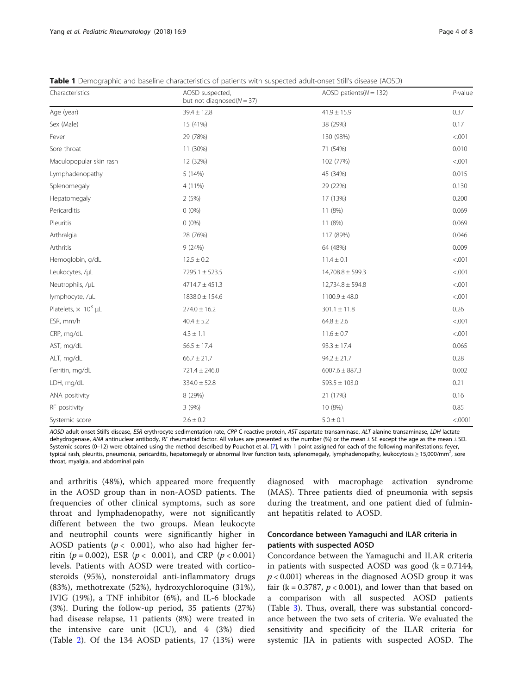<span id="page-3-0"></span>

| <b>Table 1</b> Demographic and baseline characteristics of patients with suspected adult-onset Still's disease (AOSD) |  |  |  |
|-----------------------------------------------------------------------------------------------------------------------|--|--|--|
|-----------------------------------------------------------------------------------------------------------------------|--|--|--|

| Characteristics                        | AOSD suspected,<br>but not diagnosed $(N = 37)$ | AOSD patients $(N = 132)$ | $P$ -value |  |
|----------------------------------------|-------------------------------------------------|---------------------------|------------|--|
| Age (year)                             | $39.4 \pm 12.8$                                 | $41.9 \pm 15.9$           | 0.37       |  |
| Sex (Male)                             | 15 (41%)                                        | 38 (29%)                  | 0.17       |  |
| Fever                                  | 29 (78%)                                        | 130 (98%)                 | < .001     |  |
| Sore throat                            | 11 (30%)                                        | 71 (54%)                  | 0.010      |  |
| Maculopopular skin rash                | 12 (32%)                                        | 102 (77%)                 | < .001     |  |
| Lymphadenopathy                        | 5(14%)                                          | 45 (34%)                  | 0.015      |  |
| Splenomegaly                           | 4 (11%)                                         | 29 (22%)                  | 0.130      |  |
| Hepatomegaly                           | 2(5%)                                           | 17 (13%)                  | 0.200      |  |
| Pericarditis                           | $0(0\%)$                                        | 11 (8%)                   | 0.069      |  |
| Pleuritis                              | $0(0\%)$                                        | 11 (8%)                   | 0.069      |  |
| Arthralgia                             | 28 (76%)                                        | 117 (89%)                 | 0.046      |  |
| Arthritis                              | 9(24%)                                          | 64 (48%)                  | 0.009      |  |
| Hemoglobin, g/dL                       | $12.5 \pm 0.2$                                  | $11.4 \pm 0.1$            | < .001     |  |
| Leukocytes, /µL                        | $7295.1 \pm 523.5$                              | $14,708.8 \pm 599.3$      | < .001     |  |
| Neutrophils, /µL                       | $4714.7 \pm 451.3$                              | $12,734.8 \pm 594.8$      | < .001     |  |
| lymphocyte, /µL                        | $1838.0 \pm 154.6$                              | $1100.9 \pm 48.0$         | < .001     |  |
| Platelets, $\times$ 10 <sup>3</sup> µL | $274.0 \pm 16.2$                                | $301.1 \pm 11.8$          | 0.26       |  |
| ESR, mm/h                              | $40.4 \pm 5.2$                                  | $64.8 \pm 2.6$            | < .001     |  |
| CRP, mg/dL                             | $4.3 \pm 1.1$                                   | $11.6 \pm 0.7$            | < .001     |  |
| AST, mg/dL                             | $56.5 \pm 17.4$                                 | $93.3 \pm 17.4$           | 0.065      |  |
| ALT, mg/dL                             | $66.7 \pm 21.7$                                 | $94.2 \pm 21.7$           | 0.28       |  |
| Ferritin, mg/dL                        | $721.4 \pm 246.0$                               | $6007.6 \pm 887.3$        | 0.002      |  |
| LDH, mg/dL                             | $334.0 \pm 52.8$                                | $593.5 \pm 103.0$         | 0.21       |  |
| ANA positivity                         | 8 (29%)                                         | 21 (17%)                  | 0.16       |  |
| RF positivity                          | 3(9%)                                           | 10 (8%)                   | 0.85       |  |
| Systemic score                         | $2.6 \pm 0.2$                                   | $5.0 \pm 0.1$             | < .0001    |  |

AOSD adult-onset Still's disease, ESR erythrocyte sedimentation rate, CRP C-reactive protein, AST aspartate transaminase, ALT alanine transaminase, LDH lactate dehydrogenase, ANA antinuclear antibody, RF rheumatoid factor. All values are presented as the number (%) or the mean ± SE except the age as the mean ± SD. Systemic scores (0–12) were obtained using the method described by Pouchot et al. [\[7\]](#page-6-0), with 1 point assigned for each of the following manifestations: fever, typical rash, pleuritis, pneumonia, pericarditis, hepatomegaly or abnormal liver function tests, splenomegaly, lymphadenopathy, leukocytosis ≥ 15,000/mm<sup>2</sup>, sore throat, myalgia, and abdominal pain

and arthritis (48%), which appeared more frequently in the AOSD group than in non-AOSD patients. The frequencies of other clinical symptoms, such as sore throat and lymphadenopathy, were not significantly different between the two groups. Mean leukocyte and neutrophil counts were significantly higher in AOSD patients ( $p < 0.001$ ), who also had higher ferritin ( $p = 0.002$ ), ESR ( $p < 0.001$ ), and CRP ( $p < 0.001$ ) levels. Patients with AOSD were treated with corticosteroids (95%), nonsteroidal anti-inflammatory drugs (83%), methotrexate (52%), hydroxychloroquine (31%), IVIG (19%), a TNF inhibitor (6%), and IL-6 blockade (3%). During the follow-up period, 35 patients (27%) had disease relapse, 11 patients (8%) were treated in the intensive care unit (ICU), and 4 (3%) died (Table [2](#page-4-0)). Of the 134 AOSD patients, 17 (13%) were diagnosed with macrophage activation syndrome (MAS). Three patients died of pneumonia with sepsis during the treatment, and one patient died of fulminant hepatitis related to AOSD.

### Concordance between Yamaguchi and ILAR criteria in patients with suspected AOSD

Concordance between the Yamaguchi and ILAR criteria in patients with suspected AOSD was good  $(k = 0.7144,$  $p < 0.001$ ) whereas in the diagnosed AOSD group it was fair ( $k = 0.3787$ ,  $p < 0.001$ ), and lower than that based on a comparison with all suspected AOSD patients (Table [3](#page-4-0)). Thus, overall, there was substantial concordance between the two sets of criteria. We evaluated the sensitivity and specificity of the ILAR criteria for systemic JIA in patients with suspected AOSD. The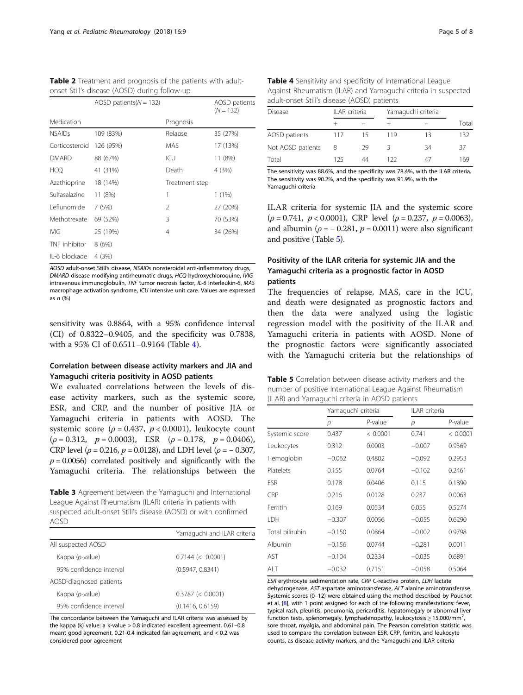<span id="page-4-0"></span>Table 2 Treatment and prognosis of the patients with adultonset Still's disease (AOSD) during follow-up

|                | AOSD patients $(N = 132)$ |                | AOSD patients<br>$(N = 132)$ |
|----------------|---------------------------|----------------|------------------------------|
| Medication     |                           | Prognosis      |                              |
| <b>NSAIDs</b>  | 109 (83%)                 | Relapse        | 35 (27%)                     |
| Corticosteroid | 126 (95%)                 | <b>MAS</b>     | 17 (13%)                     |
| <b>DMARD</b>   | 88 (67%)                  | ICU            | 11 (8%)                      |
| <b>HCO</b>     | 41 (31%)                  | Death          | 4 (3%)                       |
| Azathioprine   | 18 (14%)                  | Treatment step |                              |
| Sulfasalazine  | 11 (8%)                   | 1              | $1(1\%)$                     |
| I eflunomide   | 7 (5%)                    | $\mathfrak{D}$ | 27 (20%)                     |
| Methotrexate   | 69 (52%)                  | 3              | 70 (53%)                     |
| <b>IVIG</b>    | 25 (19%)                  | 4              | 34 (26%)                     |
| TNF inhibitor  | 8(6%)                     |                |                              |
| IL-6 blockade  | 4 (3%)                    |                |                              |

AOSD adult-onset Still's disease, NSAIDs nonsteroidal anti-inflammatory drugs, DMARD disease modifying antirheumatic drugs, HCQ hydroxychloroquine, IVIG intravenous immunoglobulin, TNF tumor necrosis factor, IL-6 interleukin-6, MAS macrophage activation syndrome, ICU intensive unit care. Values are expressed as n (%)

sensitivity was 0.8864, with a 95% confidence interval (CI) of 0.8322–0.9405, and the specificity was 0.7838, with a 95% CI of 0.6511–0.9164 (Table 4).

### Correlation between disease activity markers and JIA and Yamaguchi criteria positivity in AOSD patients

We evaluated correlations between the levels of disease activity markers, such as the systemic score, ESR, and CRP, and the number of positive JIA or Yamaguchi criteria in patients with AOSD. The systemic score ( $\rho = 0.437$ ,  $p < 0.0001$ ), leukocyte count  $(\rho = 0.312, p = 0.0003),$  ESR  $(\rho = 0.178, p = 0.0406),$ CRP level ( $\rho = 0.216$ ,  $p = 0.0128$ ), and LDH level ( $\rho = -0.307$ ,  $p = 0.0056$ ) correlated positively and significantly with the Yamaguchi criteria. The relationships between the

Table 3 Agreement between the Yamaguchi and International League Against Rheumatism (ILAR) criteria in patients with suspected adult-onset Still's disease (AOSD) or with confirmed AOSD

|                         | Yamaguchi and ILAR criteria |
|-------------------------|-----------------------------|
| All suspected AOSD      |                             |
| Kappa (p-value)         | $0.7144 \leq 0.0001$        |
| 95% confidence interval | (0.5947, 0.8341)            |
| AOSD-diagnosed patients |                             |
| Kappa (p-value)         | $0.3787 \leq 0.0001$        |
| 95% confidence interval | (0.1416, 0.6159)            |

The concordance between the Yamaguchi and ILAR criteria was assessed by the kappa (k) value: a k-value > 0.8 indicated excellent agreement, 0.61–0.8 meant good agreement, 0.21-0.4 indicated fair agreement, and < 0.2 was considered poor agreement

Table 4 Sensitivity and specificity of International League Against Rheumatism (ILAR) and Yamaguchi criteria in suspected adult-onset Still's disease (AOSD) patients

| Disease           | ILAR criteria |     |     | Yamaguchi criteria |       |
|-------------------|---------------|-----|-----|--------------------|-------|
|                   |               |     |     |                    | Total |
| AOSD patients     | 117           | 15  | 119 | 13                 | 132   |
| Not AOSD patients | 8             | -29 | 3   | 34                 | 37    |
| Total             | 125           | ΔΔ  | 122 | 47                 | 169   |

The sensitivity was 88.6%, and the specificity was 78.4%, with the ILAR criteria. The sensitivity was 90.2%, and the specificity was 91.9%, with the Yamaguchi criteria

ILAR criteria for systemic JIA and the systemic score  $(\rho = 0.741, p < 0.0001)$ , CRP level  $(\rho = 0.237, p = 0.0063)$ , and albumin ( $\rho = -0.281$ ,  $p = 0.0011$ ) were also significant and positive (Table 5).

### Positivity of the ILAR criteria for systemic JIA and the Yamaguchi criteria as a prognostic factor in AOSD patients

The frequencies of relapse, MAS, care in the ICU, and death were designated as prognostic factors and then the data were analyzed using the logistic regression model with the positivity of the ILAR and Yamaguchi criteria in patients with AOSD. None of the prognostic factors were significantly associated with the Yamaguchi criteria but the relationships of

| Table 5 Correlation between disease activity markers and the |
|--------------------------------------------------------------|
| number of positive International League Against Rheumatism   |
| (ILAR) and Yamaguchi criteria in AOSD patients               |

|                 | Yamaguchi criteria |          | ILAR criteria |            |
|-----------------|--------------------|----------|---------------|------------|
|                 | ρ                  | P-value  | ρ             | $P$ -value |
| Systemic score  | 0.437              | < 0.0001 | 0.741         | < 0.0001   |
| Leukocytes      | 0.312              | 0.0003   | $-0.007$      | 0.9369     |
| Hemoglobin      | $-0.062$           | 0.4802   | $-0.092$      | 0.2953     |
| Platelets       | 0.155              | 0.0764   | $-0.102$      | 0.2461     |
| <b>FSR</b>      | 0.178              | 0.0406   | 0.115         | 0.1890     |
| <b>CRP</b>      | 0.216              | 0.0128   | 0.237         | 0.0063     |
| Ferritin        | 0.169              | 0.0534   | 0.055         | 0.5274     |
| I DH            | $-0.307$           | 0.0056   | $-0.055$      | 0.6290     |
| Total bilirubin | $-0.150$           | 0.0864   | $-0.002$      | 0.9798     |
| Albumin         | $-0.156$           | 0.0744   | $-0.281$      | 0.0011     |
| <b>AST</b>      | $-0.104$           | 0.2334   | $-0.035$      | 0.6891     |
| AI T            | $-0.032$           | 0.7151   | $-0.058$      | 0.5064     |

ESR erythrocyte sedimentation rate, CRP C-reactive protein, LDH lactate dehydrogenase, AST aspartate aminotransferase, ALT alanine aminotransferase. Systemic scores (0–12) were obtained using the method described by Pouchot et al. [\[8\]](#page-6-0), with 1 point assigned for each of the following manifestations: fever, typical rash, pleuritis, pneumonia, pericarditis, hepatomegaly or abnormal liver function tests, splenomegaly, lymphadenopathy, leukocytosis  $\geq 15,000/\text{mm}^2$ , , sore throat, myalgia, and abdominal pain. The Pearson correlation statistic was used to compare the correlation between ESR, CRP, ferritin, and leukocyte counts, as disease activity markers, and the Yamaguchi and ILAR criteria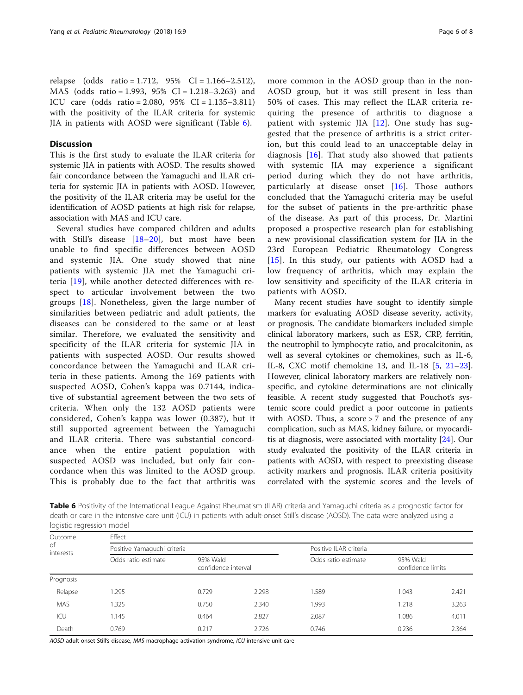relapse (odds ratio = 1.712,  $95\%$  CI = 1.166-2.512), MAS (odds ratio = 1.993, 95% CI = 1.218–3.263) and ICU care (odds ratio = 2.080,  $95\%$  CI = 1.135–3.811) with the positivity of the ILAR criteria for systemic JIA in patients with AOSD were significant (Table 6).

### **Discussion**

This is the first study to evaluate the ILAR criteria for systemic JIA in patients with AOSD. The results showed fair concordance between the Yamaguchi and ILAR criteria for systemic JIA in patients with AOSD. However, the positivity of the ILAR criteria may be useful for the identification of AOSD patients at high risk for relapse, association with MAS and ICU care.

Several studies have compared children and adults with Still's disease [[18](#page-6-0)–[20](#page-7-0)], but most have been unable to find specific differences between AOSD and systemic JIA. One study showed that nine patients with systemic JIA met the Yamaguchi criteria [[19](#page-7-0)], while another detected differences with respect to articular involvement between the two groups [[18\]](#page-6-0). Nonetheless, given the large number of similarities between pediatric and adult patients, the diseases can be considered to the same or at least similar. Therefore, we evaluated the sensitivity and specificity of the ILAR criteria for systemic JIA in patients with suspected AOSD. Our results showed concordance between the Yamaguchi and ILAR criteria in these patients. Among the 169 patients with suspected AOSD, Cohen's kappa was 0.7144, indicative of substantial agreement between the two sets of criteria. When only the 132 AOSD patients were considered, Cohen's kappa was lower (0.387), but it still supported agreement between the Yamaguchi and ILAR criteria. There was substantial concordance when the entire patient population with suspected AOSD was included, but only fair concordance when this was limited to the AOSD group. This is probably due to the fact that arthritis was

more common in the AOSD group than in the non-AOSD group, but it was still present in less than 50% of cases. This may reflect the ILAR criteria requiring the presence of arthritis to diagnose a patient with systemic JIA [[12](#page-6-0)]. One study has suggested that the presence of arthritis is a strict criterion, but this could lead to an unacceptable delay in diagnosis  $[16]$  $[16]$  $[16]$ . That study also showed that patients with systemic JIA may experience a significant period during which they do not have arthritis, particularly at disease onset [[16](#page-6-0)]. Those authors concluded that the Yamaguchi criteria may be useful for the subset of patients in the pre-arthritic phase of the disease. As part of this process, Dr. Martini proposed a prospective research plan for establishing a new provisional classification system for JIA in the 23rd European Pediatric Rheumatology Congress [[15](#page-6-0)]. In this study, our patients with AOSD had a low frequency of arthritis, which may explain the low sensitivity and specificity of the ILAR criteria in patients with AOSD.

Many recent studies have sought to identify simple markers for evaluating AOSD disease severity, activity, or prognosis. The candidate biomarkers included simple clinical laboratory markers, such as ESR, CRP, ferritin, the neutrophil to lymphocyte ratio, and procalcitonin, as well as several cytokines or chemokines, such as IL-6, IL-8, CXC motif chemokine 13, and IL-18 [[5,](#page-6-0) [21](#page-7-0)–[23](#page-7-0)]. However, clinical laboratory markers are relatively nonspecific, and cytokine determinations are not clinically feasible. A recent study suggested that Pouchot's systemic score could predict a poor outcome in patients with AOSD. Thus, a score  $> 7$  and the presence of any complication, such as MAS, kidney failure, or myocarditis at diagnosis, were associated with mortality [\[24](#page-7-0)]. Our study evaluated the positivity of the ILAR criteria in patients with AOSD, with respect to preexisting disease activity markers and prognosis. ILAR criteria positivity correlated with the systemic scores and the levels of

Table 6 Positivity of the International League Against Rheumatism (ILAR) criteria and Yamaguchi criteria as a prognostic factor for death or care in the intensive care unit (ICU) in patients with adult-onset Still's disease (AOSD). The data were analyzed using a logistic regression model

| Outcome<br>of<br>interests | Effect                      |                                 |       |                        |                               |       |  |  |  |
|----------------------------|-----------------------------|---------------------------------|-------|------------------------|-------------------------------|-------|--|--|--|
|                            | Positive Yamaguchi criteria |                                 |       | Positive ILAR criteria |                               |       |  |  |  |
|                            | Odds ratio estimate         | 95% Wald<br>confidence interval |       | Odds ratio estimate    | 95% Wald<br>confidence limits |       |  |  |  |
| Prognosis                  |                             |                                 |       |                        |                               |       |  |  |  |
| Relapse                    | 1.295                       | 0.729                           | 2.298 | 1.589                  | 1.043                         | 2.421 |  |  |  |
| <b>MAS</b>                 | 1.325                       | 0.750                           | 2.340 | 1.993                  | 1.218                         | 3.263 |  |  |  |
| ICU                        | 1.145                       | 0.464                           | 2.827 | 2.087                  | 1.086                         | 4.011 |  |  |  |
| Death                      | 0.769                       | 0.217                           | 2.726 | 0.746                  | 0.236                         | 2.364 |  |  |  |

AOSD adult-onset Still's disease, MAS macrophage activation syndrome, ICU intensive unit care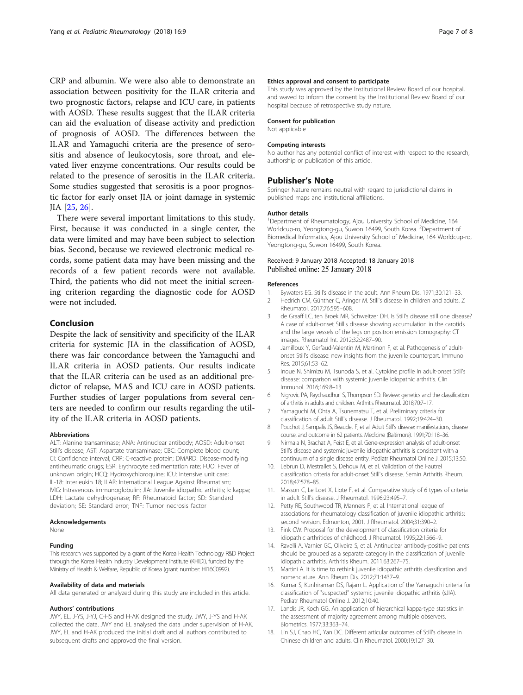<span id="page-6-0"></span>CRP and albumin. We were also able to demonstrate an association between positivity for the ILAR criteria and two prognostic factors, relapse and ICU care, in patients with AOSD. These results suggest that the ILAR criteria can aid the evaluation of disease activity and prediction of prognosis of AOSD. The differences between the ILAR and Yamaguchi criteria are the presence of serositis and absence of leukocytosis, sore throat, and elevated liver enzyme concentrations. Our results could be related to the presence of serositis in the ILAR criteria. Some studies suggested that serositis is a poor prognostic factor for early onset JIA or joint damage in systemic JIA [\[25,](#page-7-0) [26\]](#page-7-0).

There were several important limitations to this study. First, because it was conducted in a single center, the data were limited and may have been subject to selection bias. Second, because we reviewed electronic medical records, some patient data may have been missing and the records of a few patient records were not available. Third, the patients who did not meet the initial screening criterion regarding the diagnostic code for AOSD were not included.

### Conclusion

Despite the lack of sensitivity and specificity of the ILAR criteria for systemic JIA in the classification of AOSD, there was fair concordance between the Yamaguchi and ILAR criteria in AOSD patients. Our results indicate that the ILAR criteria can be used as an additional predictor of relapse, MAS and ICU care in AOSD patients. Further studies of larger populations from several centers are needed to confirm our results regarding the utility of the ILAR criteria in AOSD patients.

#### Abbreviations

ALT: Alanine transaminase; ANA: Antinuclear antibody; AOSD: Adult-onset Still's disease; AST: Aspartate transaminase; CBC: Complete blood count; CI: Confidence interval; CRP: C-reactive protein; DMARD: Disease-modifying antirheumatic drugs; ESR: Erythrocyte sedimentation rate; FUO: Fever of unknown origin; HCQ: Hydroxychloroquine; ICU: Intensive unit care; IL-18: Interleukin 18; ILAR: International League Against Rheumatism; IVIG: Intravenous immunoglobulin; JIA: Juvenile idiopathic arthritis; k: kappa; LDH: Lactate dehydrogenase; RF: Rheumatoid factor; SD: Standard deviation; SE: Standard error; TNF: Tumor necrosis factor

#### Acknowledgements

None

### Funding

This research was supported by a grant of the Korea Health Technology R&D Project through the Korea Health Industry Development Institute (KHIDI), funded by the Ministry of Health & Welfare, Republic of Korea (grant number: HI16C0992).

#### Availability of data and materials

All data generated or analyzed during this study are included in this article.

#### Authors' contributions

JWY, EL, J-YS, J-YJ, C-HS and H-AK designed the study. JWY, J-YS and H-AK collected the data. JWY and EL analysed the data under supervision of H-AK. JWY, EL and H-AK produced the initial draft and all authors contributed to subsequent drafts and approved the final version.

#### Ethics approval and consent to participate

This study was approved by the Institutional Review Board of our hospital, and waved to inform the consent by the Institutional Review Board of our hospital because of retrospective study nature.

#### Consent for publication

Not applicable

#### Competing interests

No author has any potential conflict of interest with respect to the research, authorship or publication of this article.

### Publisher's Note

Springer Nature remains neutral with regard to jurisdictional claims in published maps and institutional affiliations.

#### Author details

<sup>1</sup>Department of Rheumatology, Ajou University School of Medicine, 164 Worldcup-ro, Yeongtong-gu, Suwon 16499, South Korea. <sup>2</sup>Department of Biomedical Informatics, Ajou University School of Medicine, 164 Worldcup-ro, Yeongtong-gu, Suwon 16499, South Korea.

#### Received: 9 January 2018 Accepted: 18 January 2018 Published online: 25 January 2018

#### References

- 1. Bywaters EG. Still's disease in the adult. Ann Rheum Dis. 1971;30:121–33.
- 2. Hedrich CM, Günther C, Aringer M. Still's disease in children and adults. Z Rheumatol. 2017;76:595–608.
- 3. de Graaff LC, ten Broek MR, Schweitzer DH. Is Still's disease still one disease? A case of adult-onset Still's disease showing accumulation in the carotids and the large vessels of the legs on positron emission tomography: CT images. Rheumatol Int. 2012;32:2487–90.
- 4. Jamilloux Y, Gerfaud-Valentin M, Martinon F, et al. Pathogenesis of adultonset Still's disease: new insights from the juvenile counterpart. Immunol Res. 2015;61:53–62.
- 5. Inoue N, Shimizu M, Tsunoda S, et al. Cytokine profile in adult-onset Still's disease: comparison with systemic juvenile idiopathic arthritis. Clin Immunol. 2016;169:8–13.
- 6. Nigrovic PA, Raychaudhuri S, Thompson SD. Review: genetics and the classification of arthritis in adults and children. Arthritis Rheumatol. 2018;70:7–17.
- 7. Yamaguchi M, Ohta A, Tsunematsu T, et al. Preliminary criteria for classification of adult Still's disease. J Rheumatol. 1992;19:424–30.
- 8. Pouchot J, Sampalis JS, Beaudet F, et al. Adult Still's disease: manifestations, disease course, and outcome in 62 patients. Medicine (Baltimore). 1991;70:118–36.
- 9. Nirmala N, Brachat A, Feist E, et al. Gene-expression analysis of adult-onset Still's disease and systemic juvenile idiopathic arthritis is consistent with a continuum of a single disease entity. Pediatr Rheumatol Online J. 2015;13:50.
- 10. Lebrun D, Mestrallet S, Dehoux M, et al. Validation of the Fautrel classification criteria for adult-onset Still's disease. Semin Arthritis Rheum. 2018;47:578–85.
- 11. Masson C, Le Loet X, Liote F, et al. Comparative study of 6 types of criteria in adult Still's disease. J Rheumatol. 1996;23:495–7.
- 12. Petty RE, Southwood TR, Manners P, et al. International league of associations for rheumatology classification of juvenile idiopathic arthritis: second revision, Edmonton, 2001. J Rheumatol. 2004;31:390–2.
- 13. Fink CW. Proposal for the development of classification criteria for idiopathic arthritides of childhood. J Rheumatol. 1995;22:1566–9.
- 14. Ravelli A, Varnier GC, Oliveira S, et al. Antinuclear antibody-positive patients should be grouped as a separate category in the classification of juvenile idiopathic arthritis. Arthritis Rheum. 2011;63:267–75.
- 15. Martini A. It is time to rethink juvenile idiopathic arthritis classification and nomenclature. Ann Rheum Dis. 2012;71:1437–9.
- 16. Kumar S, Kunhiraman DS, Rajam L. Application of the Yamaguchi criteria for classification of "suspected" systemic juvenile idiopathic arthritis (sJIA). Pediatr Rheumatol Online J. 2012;10:40.
- 17. Landis JR, Koch GG. An application of hierarchical kappa-type statistics in the assessment of majority agreement among multiple observers. Biometrics. 1977;33:363–74.
- 18. Lin SJ, Chao HC, Yan DC. Different articular outcomes of Still's disease in Chinese children and adults. Clin Rheumatol. 2000;19:127–30.